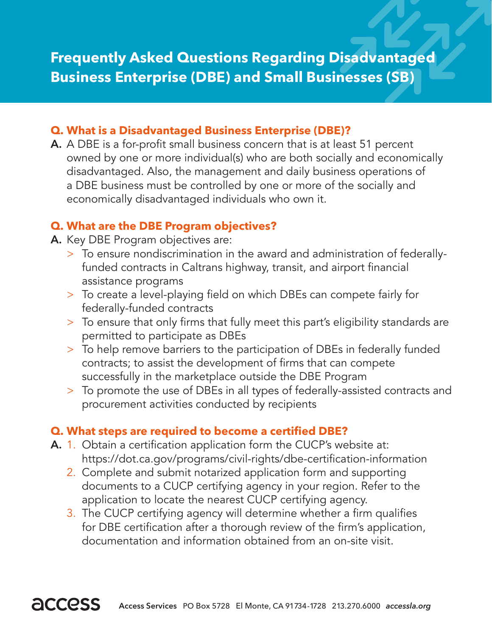### **Q. What is a Disadvantaged Business Enterprise (DBE)?**

A. A DBE is a for-profit small business concern that is at least 51 percent owned by one or more individual(s) who are both socially and economically disadvantaged. Also, the management and daily business operations of a DBE business must be controlled by one or more of the socially and economically disadvantaged individuals who own it.

# **Q. What are the DBE Program objectives?**

- A. Key DBE Program objectives are:
	- > To ensure nondiscrimination in the award and administration of federally- funded contracts in Caltrans highway, transit, and airport financial assistance programs
	- > To create a level-playing field on which DBEs can compete fairly for federally-funded contracts
	- > To ensure that only firms that fully meet this part's eligibility standards are permitted to participate as DBEs
	- > To help remove barriers to the participation of DBEs in federally funded contracts; to assist the development of firms that can compete successfully in the marketplace outside the DBE Program
	- > To promote the use of DBEs in all types of federally-assisted contracts and procurement activities conducted by recipients

# **Q. What steps are required to become a certified DBE?**

- A. 1. Obtain a certification application form the CUCP's website at: https://dot.ca.gov/programs/civil-rights/dbe-certification-information
	- 2. Complete and submit notarized application form and supporting documents to a CUCP certifying agency in your region. Refer to the application to locate the nearest CUCP certifying agency.
	- 3. The CUCP certifying agency will determine whether a firm qualifies for DBE certification after a thorough review of the firm's application, documentation and information obtained from an on-site visit.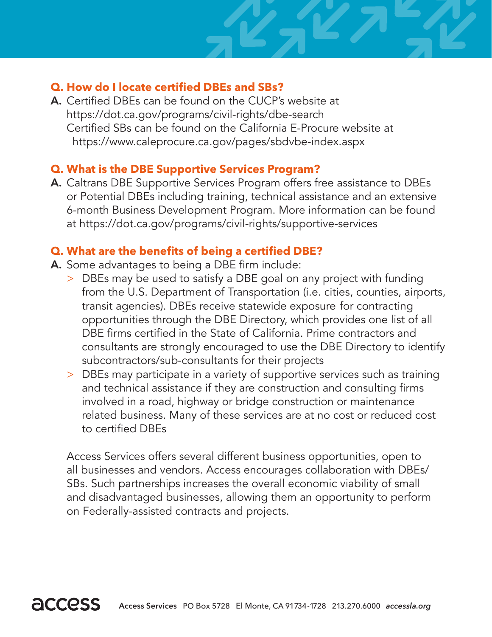# **Q. How do I locate certified DBEs and SBs?**

A. Certified DBEs can be found on the CUCP's website at https://dot.ca.gov/programs/civil-rights/dbe-search Certified SBs can be found on the California E-Procure website at https://www.caleprocure.ca.gov/pages/sbdvbe-index.aspx

### **Q. What is the DBE Supportive Services Program?**

A. Caltrans DBE Supportive Services Program offers free assistance to DBEs or Potential DBEs including training, technical assistance and an extensive 6-month Business Development Program. More information can be found at https://dot.ca.gov/programs/civil-rights/supportive-services

### **Q. What are the benefits of being a certified DBE?**

- A. Some advantages to being a DBE firm include:
	- > DBEs may be used to satisfy a DBE goal on any project with funding from the U.S. Department of Transportation (i.e. cities, counties, airports, transit agencies). DBEs receive statewide exposure for contracting opportunities through the DBE Directory, which provides one list of all DBE firms certified in the State of California. Prime contractors and consultants are strongly encouraged to use the DBE Directory to identify subcontractors/sub-consultants for their projects
	- > DBEs may participate in a variety of supportive services such as training and technical assistance if they are construction and consulting firms involved in a road, highway or bridge construction or maintenance related business. Many of these services are at no cost or reduced cost to certified DBEs

 Access Services offers several different business opportunities, open to all businesses and vendors. Access encourages collaboration with DBEs/ SBs. Such partnerships increases the overall economic viability of small and disadvantaged businesses, allowing them an opportunity to perform on Federally-assisted contracts and projects.